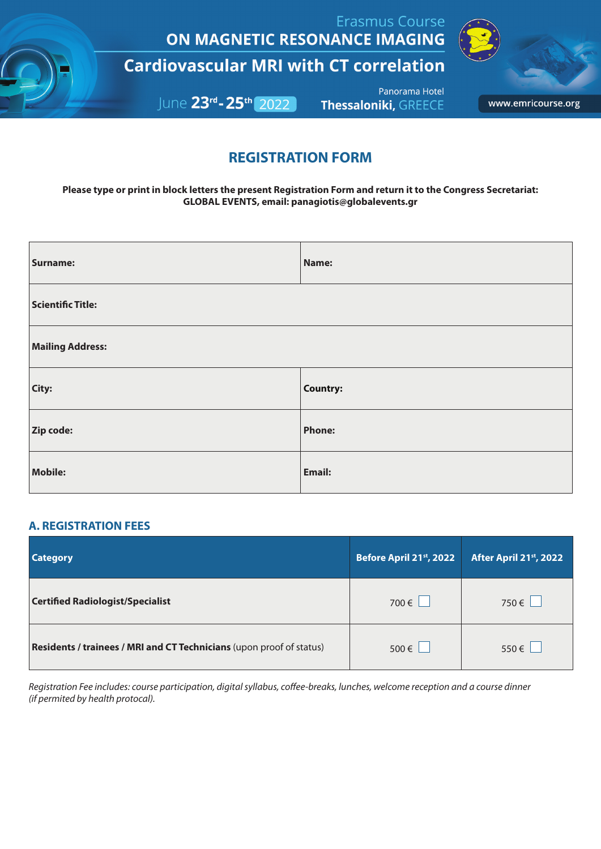**Erasmus Course** ON MAGNETIC RESONANCE IMAGING

**Cardiovascular MRI with CT correlation** 

June 23rd-25th 2022

Panorama Hotel **Thessaloniki, GREECE** 



www.emricourse.org

# **REGISTRATION FORM**

**Please type or print in block letters the present Registration Form and return it to the Congress Secretariat: GLOBAL EVENTS, email: panagiotis@globalevents.gr**

| <b>Surname:</b>          | Name:         |  |
|--------------------------|---------------|--|
| <b>Scientific Title:</b> |               |  |
| <b>Mailing Address:</b>  |               |  |
| City:                    | Country:      |  |
| Zip code:                | Phone:        |  |
| <b>Mobile:</b>           | <b>Email:</b> |  |

## **A. REGISTRATION FEES**

| <b>Category</b>                                                      | Before April 21st, 2022 | After April 21st, 2022 |
|----------------------------------------------------------------------|-------------------------|------------------------|
| <b>Certified Radiologist/Specialist</b>                              | 700 $\in$ $\Box$        | 750€                   |
| Residents / trainees / MRI and CT Technicians (upon proof of status) | $500 \in \Box$          | $550 \in$              |

*Registration Fee includes: course participation, digital syllabus, coffee-breaks, lunches, welcome reception and a course dinner (if permited by health protocal).*